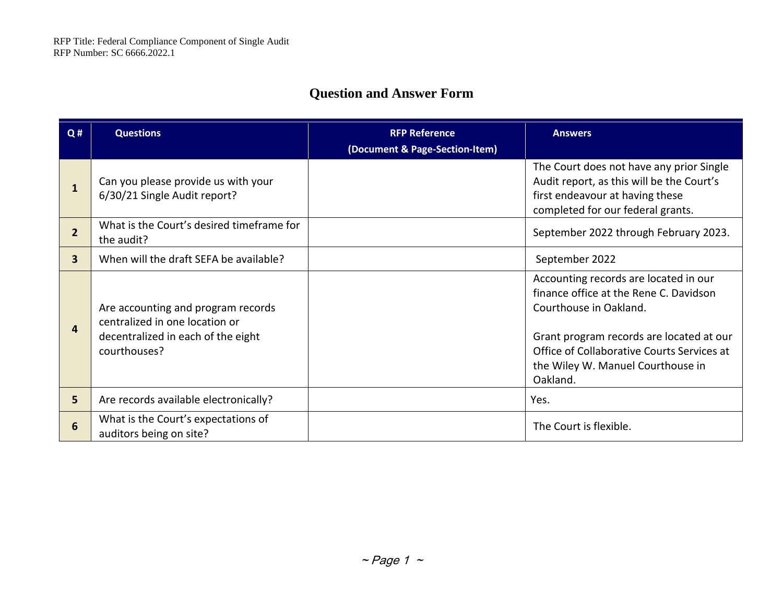## **Question and Answer Form**

| Q#                      | <b>Questions</b>                                                                                                           | <b>RFP Reference</b>           | <b>Answers</b>                                                                                                                                                                                                                                       |
|-------------------------|----------------------------------------------------------------------------------------------------------------------------|--------------------------------|------------------------------------------------------------------------------------------------------------------------------------------------------------------------------------------------------------------------------------------------------|
|                         |                                                                                                                            | (Document & Page-Section-Item) |                                                                                                                                                                                                                                                      |
|                         | Can you please provide us with your<br>6/30/21 Single Audit report?                                                        |                                | The Court does not have any prior Single<br>Audit report, as this will be the Court's<br>first endeavour at having these<br>completed for our federal grants.                                                                                        |
| $\overline{2}$          | What is the Court's desired timeframe for<br>the audit?                                                                    |                                | September 2022 through February 2023.                                                                                                                                                                                                                |
| $\overline{\mathbf{3}}$ | When will the draft SEFA be available?                                                                                     |                                | September 2022                                                                                                                                                                                                                                       |
| 4                       | Are accounting and program records<br>centralized in one location or<br>decentralized in each of the eight<br>courthouses? |                                | Accounting records are located in our<br>finance office at the Rene C. Davidson<br>Courthouse in Oakland.<br>Grant program records are located at our<br>Office of Collaborative Courts Services at<br>the Wiley W. Manuel Courthouse in<br>Oakland. |
| 5                       | Are records available electronically?                                                                                      |                                | Yes.                                                                                                                                                                                                                                                 |
| 6                       | What is the Court's expectations of<br>auditors being on site?                                                             |                                | The Court is flexible.                                                                                                                                                                                                                               |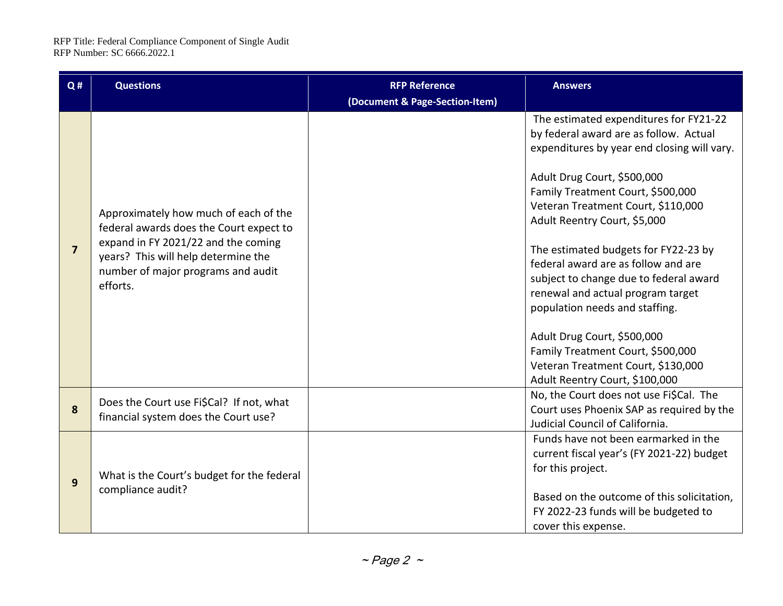| Q#             | <b>Questions</b>                                                                                                                                                                                                 | <b>RFP Reference</b>           | <b>Answers</b>                                                                                                                                                                                                                                                                                                                                                                                                                                                                                                                                                                                                        |
|----------------|------------------------------------------------------------------------------------------------------------------------------------------------------------------------------------------------------------------|--------------------------------|-----------------------------------------------------------------------------------------------------------------------------------------------------------------------------------------------------------------------------------------------------------------------------------------------------------------------------------------------------------------------------------------------------------------------------------------------------------------------------------------------------------------------------------------------------------------------------------------------------------------------|
|                |                                                                                                                                                                                                                  | (Document & Page-Section-Item) |                                                                                                                                                                                                                                                                                                                                                                                                                                                                                                                                                                                                                       |
| $\overline{7}$ | Approximately how much of each of the<br>federal awards does the Court expect to<br>expand in FY 2021/22 and the coming<br>years? This will help determine the<br>number of major programs and audit<br>efforts. |                                | The estimated expenditures for FY21-22<br>by federal award are as follow. Actual<br>expenditures by year end closing will vary.<br>Adult Drug Court, \$500,000<br>Family Treatment Court, \$500,000<br>Veteran Treatment Court, \$110,000<br>Adult Reentry Court, \$5,000<br>The estimated budgets for FY22-23 by<br>federal award are as follow and are<br>subject to change due to federal award<br>renewal and actual program target<br>population needs and staffing.<br>Adult Drug Court, \$500,000<br>Family Treatment Court, \$500,000<br>Veteran Treatment Court, \$130,000<br>Adult Reentry Court, \$100,000 |
| 8              | Does the Court use Fi\$Cal? If not, what<br>financial system does the Court use?                                                                                                                                 |                                | No, the Court does not use Fi\$Cal. The<br>Court uses Phoenix SAP as required by the<br>Judicial Council of California.                                                                                                                                                                                                                                                                                                                                                                                                                                                                                               |
| 9              | What is the Court's budget for the federal<br>compliance audit?                                                                                                                                                  |                                | Funds have not been earmarked in the<br>current fiscal year's (FY 2021-22) budget<br>for this project.<br>Based on the outcome of this solicitation,<br>FY 2022-23 funds will be budgeted to<br>cover this expense.                                                                                                                                                                                                                                                                                                                                                                                                   |